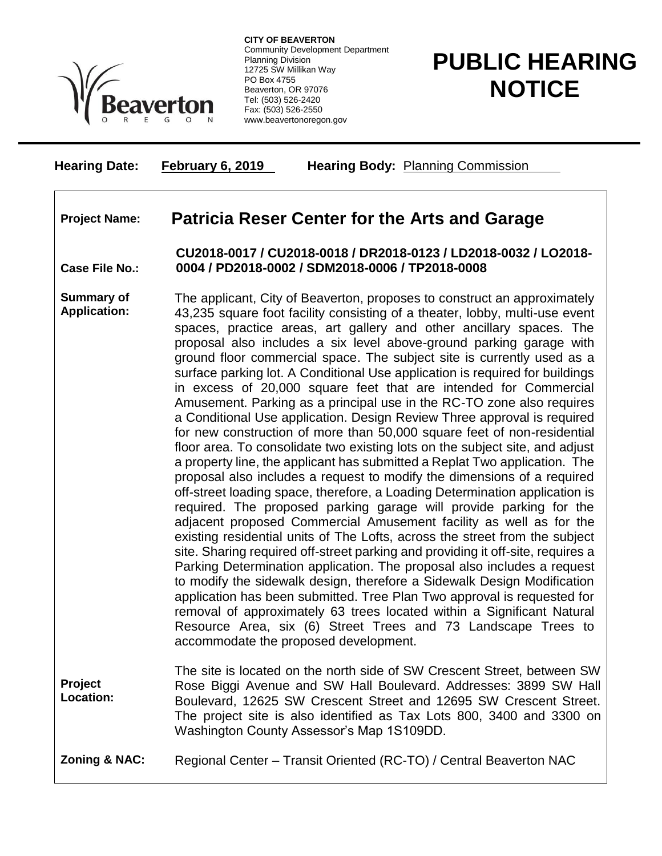

**CITY OF BEAVERTON** Community Development Department Planning Division 12725 SW Millikan Way PO Box 4755 Beaverton, OR 97076 Tel: (503) 526-2420 Fax: (503) 526-2550 www.beavertonoregon.gov

## **PUBLIC HEARING NOTICE**

| <b>Hearing Date:</b>                     | <b>February 6, 2019</b> | <b>Hearing Body: Planning Commission</b>                                                                                                                                                                                                                                                                                                                                                                                                                                                                                                                                                                                                                                                                                                                                                                                                                                                                                                                                                                                                                                                                                                                                                                                                                                                                                                                                                                                                                                                                                                                                                                                                                                                                                                                                                                                      |
|------------------------------------------|-------------------------|-------------------------------------------------------------------------------------------------------------------------------------------------------------------------------------------------------------------------------------------------------------------------------------------------------------------------------------------------------------------------------------------------------------------------------------------------------------------------------------------------------------------------------------------------------------------------------------------------------------------------------------------------------------------------------------------------------------------------------------------------------------------------------------------------------------------------------------------------------------------------------------------------------------------------------------------------------------------------------------------------------------------------------------------------------------------------------------------------------------------------------------------------------------------------------------------------------------------------------------------------------------------------------------------------------------------------------------------------------------------------------------------------------------------------------------------------------------------------------------------------------------------------------------------------------------------------------------------------------------------------------------------------------------------------------------------------------------------------------------------------------------------------------------------------------------------------------|
| <b>Project Name:</b>                     |                         | <b>Patricia Reser Center for the Arts and Garage</b>                                                                                                                                                                                                                                                                                                                                                                                                                                                                                                                                                                                                                                                                                                                                                                                                                                                                                                                                                                                                                                                                                                                                                                                                                                                                                                                                                                                                                                                                                                                                                                                                                                                                                                                                                                          |
| <b>Case File No.:</b>                    |                         | CU2018-0017 / CU2018-0018 / DR2018-0123 / LD2018-0032 / LO2018-<br>0004 / PD2018-0002 / SDM2018-0006 / TP2018-0008                                                                                                                                                                                                                                                                                                                                                                                                                                                                                                                                                                                                                                                                                                                                                                                                                                                                                                                                                                                                                                                                                                                                                                                                                                                                                                                                                                                                                                                                                                                                                                                                                                                                                                            |
| <b>Summary of</b><br><b>Application:</b> |                         | The applicant, City of Beaverton, proposes to construct an approximately<br>43,235 square foot facility consisting of a theater, lobby, multi-use event<br>spaces, practice areas, art gallery and other ancillary spaces. The<br>proposal also includes a six level above-ground parking garage with<br>ground floor commercial space. The subject site is currently used as a<br>surface parking lot. A Conditional Use application is required for buildings<br>in excess of 20,000 square feet that are intended for Commercial<br>Amusement. Parking as a principal use in the RC-TO zone also requires<br>a Conditional Use application. Design Review Three approval is required<br>for new construction of more than 50,000 square feet of non-residential<br>floor area. To consolidate two existing lots on the subject site, and adjust<br>a property line, the applicant has submitted a Replat Two application. The<br>proposal also includes a request to modify the dimensions of a required<br>off-street loading space, therefore, a Loading Determination application is<br>required. The proposed parking garage will provide parking for the<br>adjacent proposed Commercial Amusement facility as well as for the<br>existing residential units of The Lofts, across the street from the subject<br>site. Sharing required off-street parking and providing it off-site, requires a<br>Parking Determination application. The proposal also includes a request<br>to modify the sidewalk design, therefore a Sidewalk Design Modification<br>application has been submitted. Tree Plan Two approval is requested for<br>removal of approximately 63 trees located within a Significant Natural<br>Resource Area, six (6) Street Trees and 73 Landscape Trees to<br>accommodate the proposed development. |
| Project<br>Location:                     |                         | The site is located on the north side of SW Crescent Street, between SW<br>Rose Biggi Avenue and SW Hall Boulevard. Addresses: 3899 SW Hall<br>Boulevard, 12625 SW Crescent Street and 12695 SW Crescent Street.<br>The project site is also identified as Tax Lots 800, 3400 and 3300 on<br>Washington County Assessor's Map 1S109DD.                                                                                                                                                                                                                                                                                                                                                                                                                                                                                                                                                                                                                                                                                                                                                                                                                                                                                                                                                                                                                                                                                                                                                                                                                                                                                                                                                                                                                                                                                        |
| <b>Zoning &amp; NAC:</b>                 |                         | Regional Center - Transit Oriented (RC-TO) / Central Beaverton NAC                                                                                                                                                                                                                                                                                                                                                                                                                                                                                                                                                                                                                                                                                                                                                                                                                                                                                                                                                                                                                                                                                                                                                                                                                                                                                                                                                                                                                                                                                                                                                                                                                                                                                                                                                            |